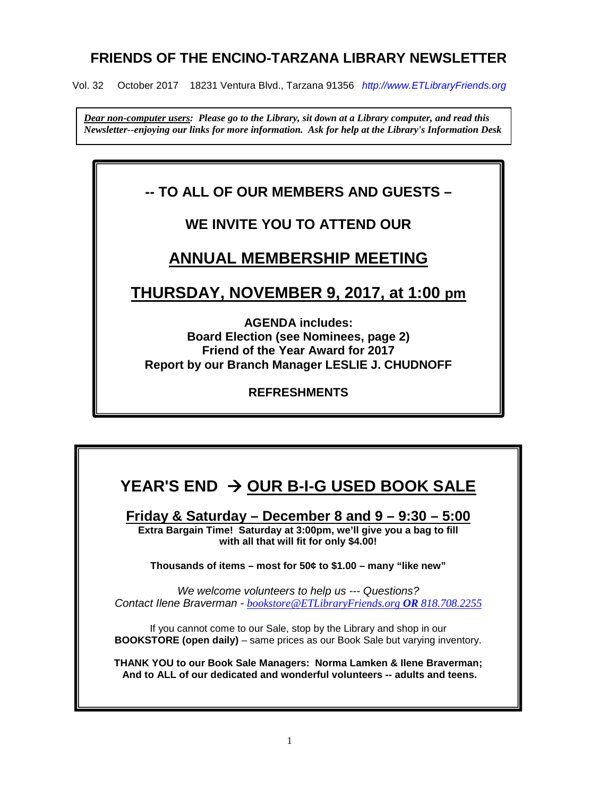# **FRIENDS OF THE ENCINO-TARZANA LIBRARY NEWSLETTER**

Vol. 32 October 2017 18231 Ventura Blvd., Tarzana 91356 *http://www.ETLibraryFriends.org* 

*Dear non-computer users: Please go to the Library, sit down at a Library computer, and read this Newsletter--enjoying our links for more information. Ask for help at the Library's Information Desk* 

# **-- TO ALL OF OUR MEMBERS AND GUESTS –**

# **WE INVITE YOU TO ATTEND OUR**

# **ANNUAL MEMBERSHIP MEETING**

# **THURSDAY, NOVEMBER 9, 2017, at 1:00 pm**

**AGENDA includes: Board Election (see Nominees, page 2) Friend of the Year Award for 2017 Report by our Branch Manager LESLIE J. CHUDNOFF**

**REFRESHMENTS**

# **YEAR'S END OUR B-I-G USED BOOK SALE**

**Friday & Saturday – December 8 and 9 – 9:30 – 5:00 Extra Bargain Time! Saturday at 3:00pm, we'll give you a bag to fill with all that will fit for only \$4.00!**

**Thousands of items – most for 50¢ to \$1.00 – many "like new"**

*We welcome volunteers to help us --- Questions? Contact Ilene Braverman - [bookstore@ETLibraryFriends.org](mailto:bookstore@etlibraryfriends.org) OR 818.708.2255*

If you cannot come to our Sale, stop by the Library and shop in our **BOOKSTORE (open daily)** – same prices as our Book Sale but varying inventory.

**THANK YOU to our Book Sale Managers: Norma Lamken & Ilene Braverman; And to ALL of our dedicated and wonderful volunteers -- adults and teens.**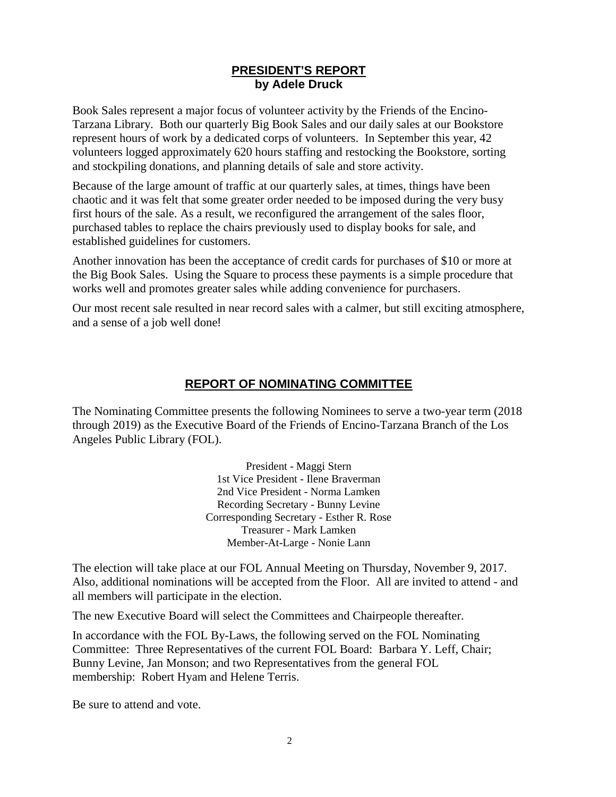#### **PRESIDENT'S REPORT by Adele Druck**

Book Sales represent a major focus of volunteer activity by the Friends of the Encino-Tarzana Library. Both our quarterly Big Book Sales and our daily sales at our Bookstore represent hours of work by a dedicated corps of volunteers. In September this year, 42 volunteers logged approximately 620 hours staffing and restocking the Bookstore, sorting and stockpiling donations, and planning details of sale and store activity.

Because of the large amount of traffic at our quarterly sales, at times, things have been chaotic and it was felt that some greater order needed to be imposed during the very busy first hours of the sale. As a result, we reconfigured the arrangement of the sales floor, purchased tables to replace the chairs previously used to display books for sale, and established guidelines for customers.

Another innovation has been the acceptance of credit cards for purchases of \$10 or more at the Big Book Sales. Using the Square to process these payments is a simple procedure that works well and promotes greater sales while adding convenience for purchasers.

Our most recent sale resulted in near record sales with a calmer, but still exciting atmosphere, and a sense of a job well done!

## **REPORT OF NOMINATING COMMITTEE**

The Nominating Committee presents the following Nominees to serve a two-year term (2018 through 2019) as the Executive Board of the Friends of Encino-Tarzana Branch of the Los Angeles Public Library (FOL).

> President - Maggi Stern 1st Vice President - Ilene Braverman 2nd Vice President - Norma Lamken Recording Secretary - Bunny Levine Corresponding Secretary - Esther R. Rose Treasurer - Mark Lamken Member-At-Large - Nonie Lann

The election will take place at our FOL Annual Meeting on Thursday, November 9, 2017. Also, additional nominations will be accepted from the Floor. All are invited to attend - and all members will participate in the election.

The new Executive Board will select the Committees and Chairpeople thereafter.

In accordance with the FOL By-Laws, the following served on the FOL Nominating Committee: Three Representatives of the current FOL Board: Barbara Y. Leff, Chair; Bunny Levine, Jan Monson; and two Representatives from the general FOL membership: Robert Hyam and Helene Terris.

Be sure to attend and vote.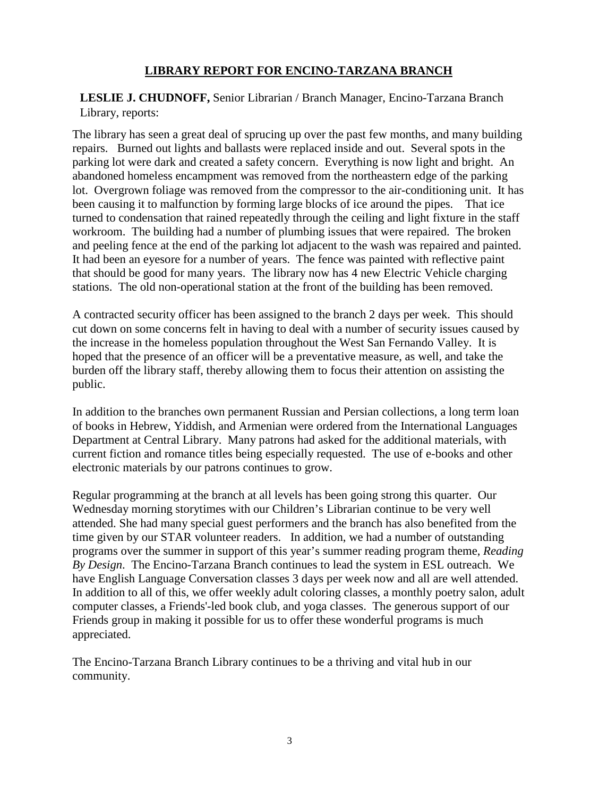## **LIBRARY REPORT FOR ENCINO-TARZANA BRANCH**

**LESLIE J. CHUDNOFF,** Senior Librarian / Branch Manager, Encino-Tarzana Branch Library, reports:

The library has seen a great deal of sprucing up over the past few months, and many building repairs. Burned out lights and ballasts were replaced inside and out. Several spots in the parking lot were dark and created a safety concern. Everything is now light and bright. An abandoned homeless encampment was removed from the northeastern edge of the parking lot. Overgrown foliage was removed from the compressor to the air-conditioning unit. It has been causing it to malfunction by forming large blocks of ice around the pipes. That ice turned to condensation that rained repeatedly through the ceiling and light fixture in the staff workroom. The building had a number of plumbing issues that were repaired. The broken and peeling fence at the end of the parking lot adjacent to the wash was repaired and painted. It had been an eyesore for a number of years. The fence was painted with reflective paint that should be good for many years. The library now has 4 new Electric Vehicle charging stations. The old non-operational station at the front of the building has been removed.

A contracted security officer has been assigned to the branch 2 days per week. This should cut down on some concerns felt in having to deal with a number of security issues caused by the increase in the homeless population throughout the West San Fernando Valley. It is hoped that the presence of an officer will be a preventative measure, as well, and take the burden off the library staff, thereby allowing them to focus their attention on assisting the public.

In addition to the branches own permanent Russian and Persian collections, a long term loan of books in Hebrew, Yiddish, and Armenian were ordered from the International Languages Department at Central Library. Many patrons had asked for the additional materials, with current fiction and romance titles being especially requested. The use of e-books and other electronic materials by our patrons continues to grow.

Regular programming at the branch at all levels has been going strong this quarter. Our Wednesday morning storytimes with our Children's Librarian continue to be very well attended. She had many special guest performers and the branch has also benefited from the time given by our STAR volunteer readers. In addition, we had a number of outstanding programs over the summer in support of this year's summer reading program theme, *Reading By Design*. The Encino-Tarzana Branch continues to lead the system in ESL outreach. We have English Language Conversation classes 3 days per week now and all are well attended. In addition to all of this, we offer weekly adult coloring classes, a monthly poetry salon, adult computer classes, a Friends'-led book club, and yoga classes. The generous support of our Friends group in making it possible for us to offer these wonderful programs is much appreciated.

The Encino-Tarzana Branch Library continues to be a thriving and vital hub in our community.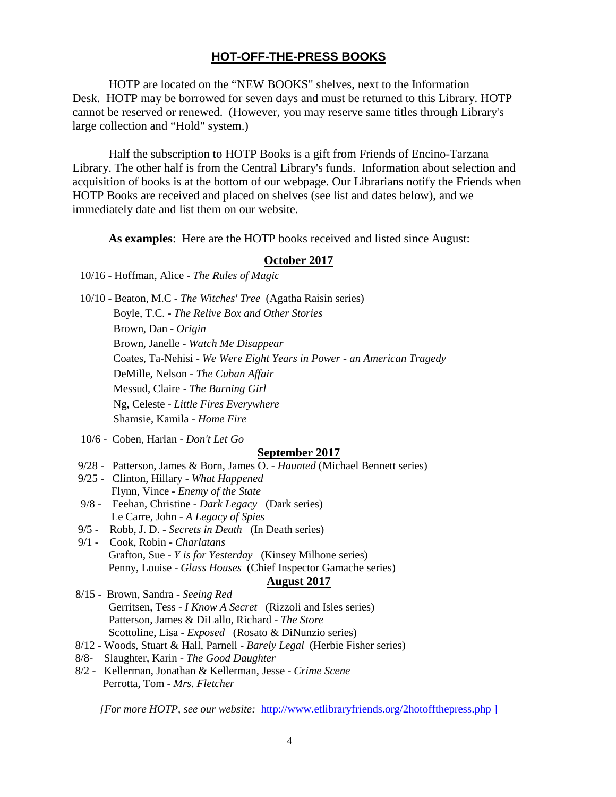#### **HOT-OFF-THE-PRESS BOOKS**

HOTP are located on the "NEW BOOKS" shelves, next to the Information Desk. HOTP may be borrowed for seven days and must be returned to this Library. HOTP cannot be reserved or renewed. (However, you may reserve same titles through Library's large collection and "Hold" system.)

Half the subscription to HOTP Books is a gift from Friends of Encino-Tarzana Library. The other half is from the Central Library's funds. Information about selection and acquisition of books is at the bottom of our webpage. Our Librarians notify the Friends when HOTP Books are received and placed on shelves (see list and dates below), and we immediately date and list them on our website.

**As examples**: Here are the HOTP books received and listed since August:

#### **October 2017**

10/16 - Hoffman, Alice - *The Rules of Magic*

10/10 - Beaton, M.C - *The Witches' Tree* (Agatha Raisin series) Boyle, T.C. - *The Relive Box and Other Stories* Brown, Dan - *Origin* Brown, Janelle - *Watch Me Disappear* Coates, Ta-Nehisi - *We Were Eight Years in Power - an American Tragedy* DeMille, Nelson - *The Cuban Affair* Messud, Claire - *The Burning Girl* Ng, Celeste - *Little Fires Everywhere* Shamsie, Kamila - *Home Fire*

10/6 - Coben, Harlan - *Don't Let Go*

#### **September 2017**

- 9/28 Patterson, James & Born, James O. *Haunted* (Michael Bennett series)
- 9/25 Clinton, Hillary *What Happened* Flynn, Vince - *Enemy of the State*
- 9/8 Feehan, Christine *Dark Legacy* (Dark series) Le Carre, John - *A Legacy of Spies*
- 9/5 Robb, J. D. *Secrets in Death* (In Death series)
- 9/1 Cook, Robin *Charlatans* Grafton, Sue - *Y is for Yesterday* (Kinsey Milhone series) Penny, Louise - *Glass Houses* (Chief Inspector Gamache series)

## **August 2017**

- 8/15 Brown, Sandra *Seeing Red* Gerritsen, Tess - *I Know A Secret* (Rizzoli and Isles series) Patterson, James & DiLallo, Richard - *The Store* Scottoline, Lisa - *Exposed* (Rosato & DiNunzio series)
- 8/12 Woods, Stuart & Hall, Parnell *Barely Legal* (Herbie Fisher series)
- 8/8- Slaughter, Karin *The Good Daughter*
- 8/2 Kellerman, Jonathan & Kellerman, Jesse *Crime Scene* Perrotta, Tom - *Mrs. Fletcher*

*[For more HOTP, see our website:* <http://www.etlibraryfriends.org/2hotoffthepress.php> ]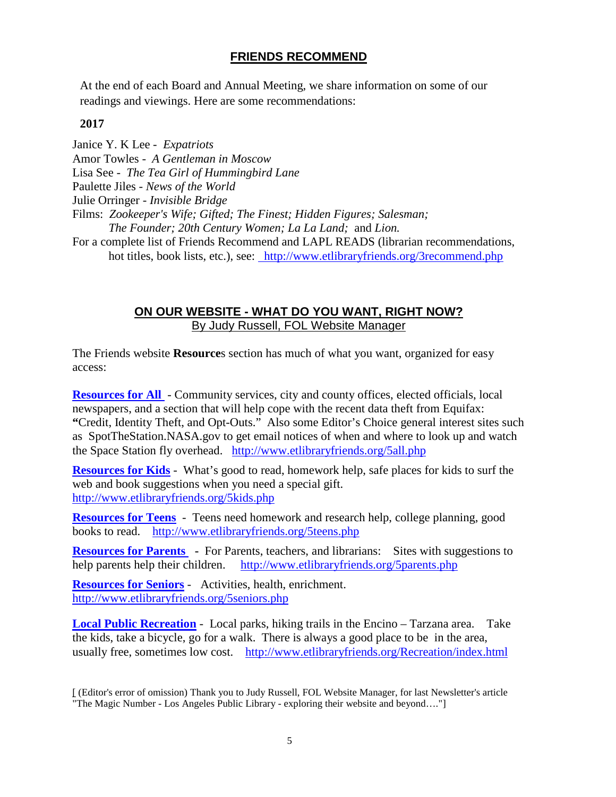# **FRIENDS RECOMMEND**

At the end of each Board and Annual Meeting, we share information on some of our readings and viewings. Here are some recommendations:

#### **2017**

Janice Y. K Lee - *Expatriots* Amor Towles - *A Gentleman in Moscow* Lisa See - *The Tea Girl of Hummingbird Lane* Paulette Jiles - *News of the World* Julie Orringer - *Invisible Bridge* Films: *Zookeeper's Wife; Gifted; The Finest; Hidden Figures; Salesman; The Founder; 20th Century Women; La La Land;* and *Lion.* For a complete list of Friends Recommend and LAPL READS (librarian recommendations, hot titles, book lists, etc.), see: http://www.etlibraryfriends.org/3recommend.php

## **ON OUR WEBSITE - WHAT DO YOU WANT, RIGHT NOW?** By Judy Russell, FOL Website Manager

The Friends website **Resource**s section has much of what you want, organized for easy access:

**[Resources for All](http://www.etlibraryfriends.org/5all.php)** - Community services, city and county offices, elected officials, local newspapers, and a section that will help cope with the recent data theft from Equifax: **"**Credit, Identity Theft, and Opt-Outs." Also some Editor's Choice general interest sites such as SpotTheStation.NASA.gov to get email notices of when and where to look up and watch the Space Station fly overhead. <http://www.etlibraryfriends.org/5all.php>

**[Resources for Kids](http://www.etlibraryfriends.org/5kids.php)** - What's good to read, homework help, safe places for kids to surf the web and book suggestions when you need a special gift. <http://www.etlibraryfriends.org/5kids.php>

**[Resources for Teens](http://www.etlibraryfriends.org/5teens.php)** - Teens need homework and research help, college planning, good books to read. <http://www.etlibraryfriends.org/5teens.php>

**[Resources for Parents](http://www.etlibraryfriends.org/5parents.php) -** For Parents, teachers, and librarians: Sites with suggestions to help parents help their children.<http://www.etlibraryfriends.org/5parents.php>

**[Resources for Seniors](http://www.etlibraryfriends.org/5seniors.php)** - Activities, health, enrichment. <http://www.etlibraryfriends.org/5seniors.php>

**[Local Public Recreation](http://www.etlibraryfriends.org/Recreation/index.html)** - Local parks, hiking trails in the Encino – Tarzana area. Take the kids, take a bicycle, go for a walk. There is always a good place to be in the area, usually free, sometimes low cost. <http://www.etlibraryfriends.org/Recreation/index.html>

<sup>[</sup> (Editor's error of omission) Thank you to Judy Russell, FOL Website Manager, for last Newsletter's article "The Magic Number - Los Angeles Public Library - exploring their website and beyond…."]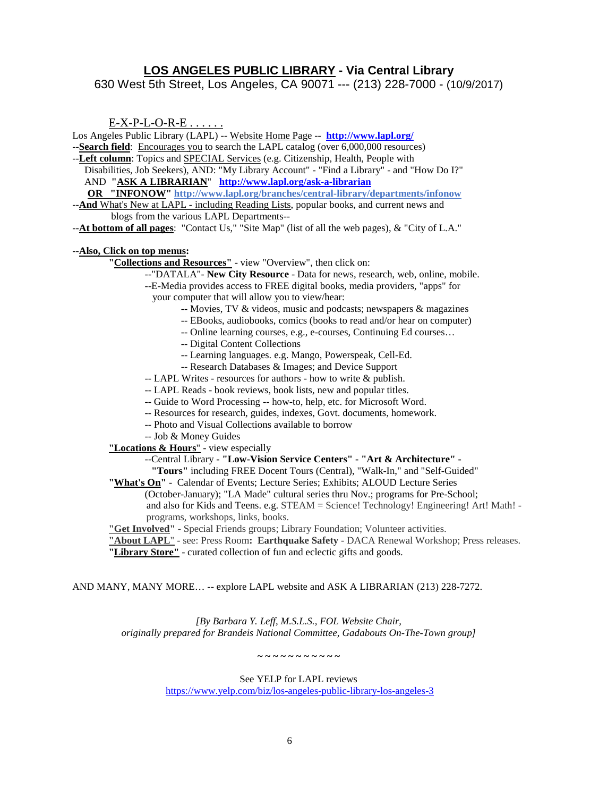#### **LOS ANGELES PUBLIC LIBRARY - Via Central Library**

630 West 5th Street, Los Angeles, CA 90071 --- (213) 228-7000 - (10/9/2017)

E-X-P-L-O-R-E . . . . . .

Los Angeles Public Library (LAPL) -- Website Home Page -- **<http://www.lapl.org/>**

- --**Search field**: Encourages you to search the LAPL catalog (over 6,000,000 resources)
- --**Left column**: Topics and SPECIAL Services (e.g. Citizenship, Health, People with

Disabilities, Job Seekers), AND: "My Library Account" - "Find a Library" - and "How Do I?" AND **"ASK A LIBRARIAN**" **<http://www.lapl.org/ask-a-librarian>**

 **OR "INFONOW"<http://www.lapl.org/branches/central-library/departments/infonow>**

--**And** What's New at LAPL - including Reading Lists, popular books, and current news and blogs from the various LAPL Departments--

--**At bottom of all pages**: "Contact Us," "Site Map" (list of all the web pages), & "City of L.A."

#### --**Also, Click on top menus:**

- **"Collections and Resources"** view "Overview", then click on:
	- --"DATALA"- **New City Resource** Data for news, research, web, online, mobile.
	- --E-Media provides access to FREE digital books, media providers, "apps" for your computer that will allow you to view/hear:
		- -- Movies, TV & videos, music and podcasts; newspapers & magazines
		- -- EBooks, audiobooks, comics (books to read and/or hear on computer)
		- -- Online learning courses, e.g., e-courses, Continuing Ed courses…
		- -- Digital Content Collections
		- -- Learning languages. e.g. Mango, Powerspeak, Cell-Ed.
		- -- Research Databases & Images; and Device Support
	- -- LAPL Writes resources for authors how to write & publish.
	- -- LAPL Reads book reviews, book lists, new and popular titles.
	- -- Guide to Word Processing -- how-to, help, etc. for Microsoft Word.
	- -- Resources for research, guides, indexes, Govt. documents, homework.
	- -- Photo and Visual Collections available to borrow
	- -- Job & Money Guides

**"Locations & Hours**" - view especially

#### --Central Library **- "Low-Vision Service Centers" - "Art & Architecture" -**

 **"Tours"** including FREE Docent Tours (Central), "Walk-In," and "Self-Guided"

**"What's On"** - Calendar of Events; Lecture Series; Exhibits; ALOUD Lecture Series

(October-January); "LA Made" cultural series thru Nov.; programs for Pre-School; and also for Kids and Teens. e.g. STEAM = Science! Technology! Engineering! Art! Math! programs, workshops, links, books.

**"Get Involved"** - Special Friends groups; Library Foundation; Volunteer activities.

**"About LAPL**" - see: Press Room**: Earthquake Safety** - DACA Renewal Workshop; Press releases.

**"Library Store"** - curated collection of fun and eclectic gifts and goods.

#### AND MANY, MANY MORE… -- explore LAPL website and ASK A LIBRARIAN (213) 228-7272.

*[By Barbara Y. Leff, M.S.L.S., FOL Website Chair, originally prepared for Brandeis National Committee, Gadabouts On-The-Town group]*

**~ ~ ~ ~ ~ ~ ~ ~ ~ ~ ~** 

See YELP for LAPL reviews

<https://www.yelp.com/biz/los-angeles-public-library-los-angeles-3>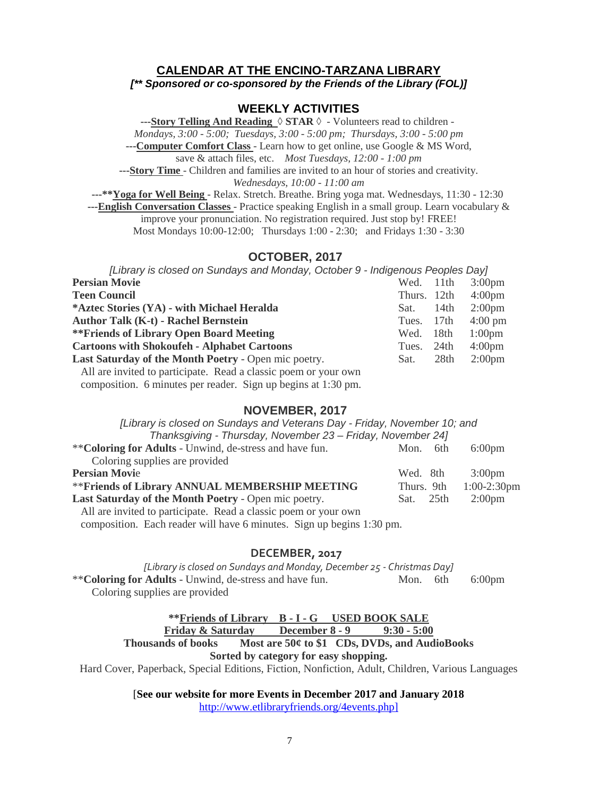### **CALENDAR AT THE ENCINO-TARZANA LIBRARY**

*[\*\* Sponsored or co-sponsored by the Friends of the Library (FOL)]*

#### **WEEKLY ACTIVITIES**

**---Story Telling And Reading** ◊ **STAR** ◊ - Volunteers read to children - *Mondays, 3:00 - 5:00; Tuesdays, 3:00 - 5:00 pm; Thursdays, 3:00 - 5:00 pm* **---Computer Comfort Class** - Learn how to get online, use Google & MS Word,

save & attach files, etc. *Most Tuesdays, 12:00 - 1:00 pm*

**---Story Time** - Children and families are invited to an hour of stories and creativity.

*Wednesdays, 10:00 - 11:00 am*

**---\*\*Yoga for Well Being** - Relax. Stretch. Breathe. Bring yoga mat. Wednesdays, 11:30 - 12:30 **---English Conversation Classes** - Practice speaking English in a small group. Learn vocabulary & improve your pronunciation. No registration required. Just stop by! FREE! Most Mondays 10:00-12:00; Thursdays 1:00 - 2:30; and Fridays 1:30 - 3:30

#### **OCTOBER, 2017**

| [Library is closed on Sundays and Monday, October 9 - Indigenous Peoples Day] |             |                  |                    |
|-------------------------------------------------------------------------------|-------------|------------------|--------------------|
| <b>Persian Movie</b>                                                          | Wed.        | 11 <sup>th</sup> | 3:00 <sub>pm</sub> |
| <b>Teen Council</b>                                                           | Thurs. 12th |                  | 4:00 <sub>pm</sub> |
| *Aztec Stories (YA) - with Michael Heralda                                    | Sat.        | 14th             | $2:00 \text{pm}$   |
| <b>Author Talk (K-t) - Rachel Bernstein</b>                                   | Tues.       | 17th             | $4:00 \text{ pm}$  |
| <b>**Friends of Library Open Board Meeting</b>                                | Wed.        | 18th             | 1:00 <sub>pm</sub> |
| <b>Cartoons with Shokoufeh - Alphabet Cartoons</b>                            | Tues.       | 24th             | $4:00 \text{pm}$   |
| Last Saturday of the Month Poetry - Open mic poetry.                          | Sat.        | 28th             | 2:00 <sub>pm</sub> |
| All are invited to participate. Read a classic poem or your own               |             |                  |                    |

composition. 6 minutes per reader. Sign up begins at 1:30 pm.

#### **NOVEMBER, 2017**

*[Library is closed on Sundays and Veterans Day - Friday, November 10; and Thanksgiving - Thursday, November 23 – Friday, November 24]*

| <u>Hahksylving - Hursuay, November 23 – Filuay, November 241</u> |             |                  |
|------------------------------------------------------------------|-------------|------------------|
| ** Coloring for Adults - Unwind, de-stress and have fun.         | 6th<br>Mon. | $6:00 \text{pm}$ |
| Coloring supplies are provided                                   |             |                  |
| <b>Persian Movie</b>                                             | Wed. 8th    | $3:00 \text{pm}$ |
| ** Friends of Library ANNUAL MEMBERSHIP MEETING                  | Thurs. 9th  | $1:00-2:30$ pm   |
| Last Saturday of the Month Poetry - Open mic poetry.             | Sat. 25th   | $2:00 \text{pm}$ |
| All are invited to participate. Read a classic poem or your own  |             |                  |

composition. Each reader will have 6 minutes. Sign up begins 1:30 pm.

#### **DECEMBER, 2017**

*[Library is closed on Sundays and Monday, December 25 - Christmas Day]* \*\***Coloring for Adults** - Unwind, de-stress and have fun. Mon. 6th 6:00pm Coloring supplies are provided

# **\*\*Friends of Library B - I - G USED BOOK SALE**

**Friday & Saturday** 

**Thousands of books Most are 50¢ to \$1 CDs, DVDs, and AudioBooks**

**Sorted by category for easy shopping.**

Hard Cover, Paperback, Special Editions, Fiction, Nonfiction, Adult, Children, Various Languages

[**See our website for more Events in December 2017 and January 2018**

[http://www.etlibraryfriends.org/4events.php\]](http://www.etlibraryfriends.org/4events.php%5d)